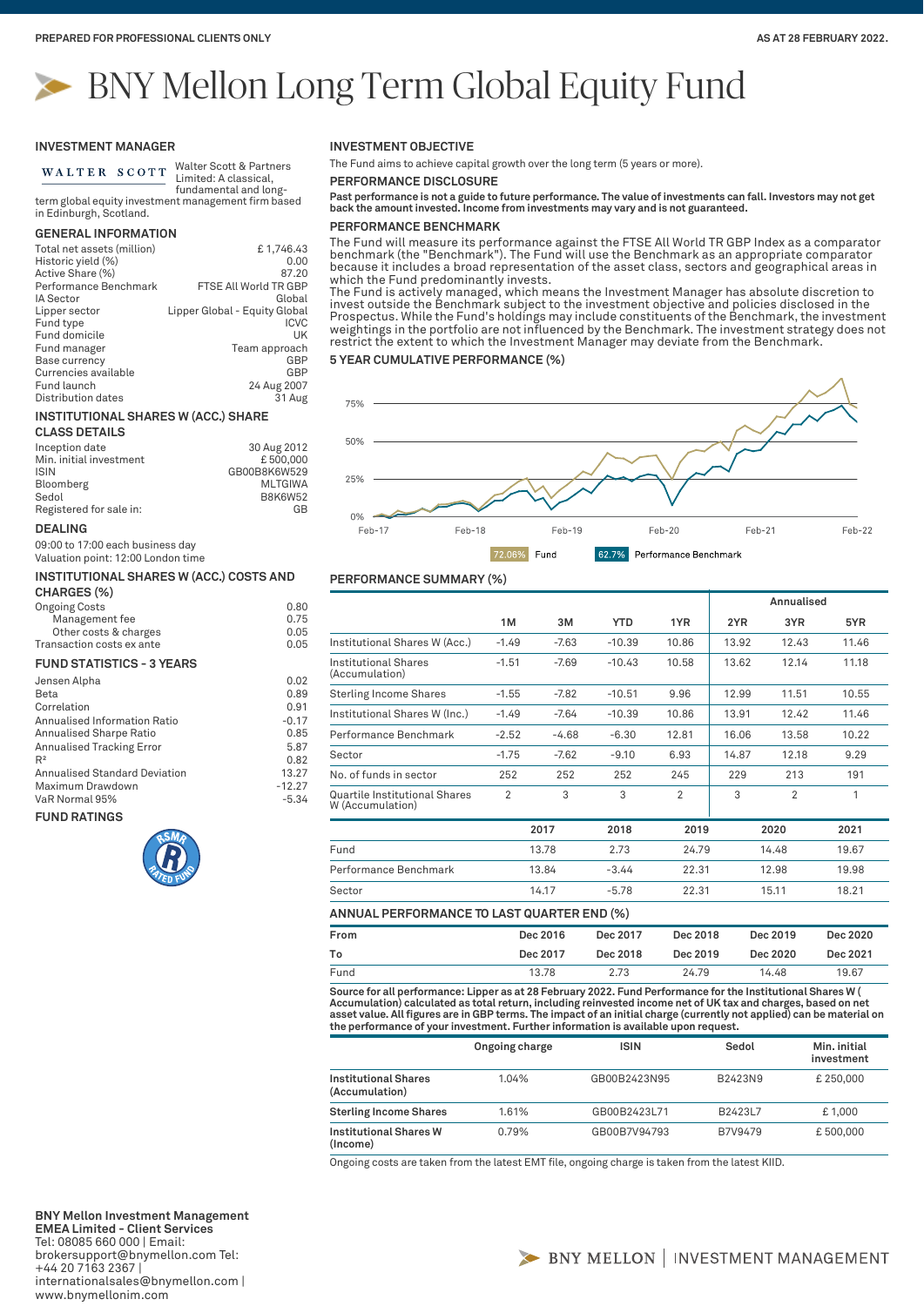# BNY Mellon Long Term Global Equity Fund

# **INVESTMENT MANAGER**

WALTER SCOTT

Walter Scott & Partners Limited: A classical, fundamental and long-

term global equity investment management firm based in Edinburgh, Scotland.

## **GENERAL INFORMATION**

| Total net assets (million)<br>Historic yield (%) | £1,746.43<br>0.00             |
|--------------------------------------------------|-------------------------------|
| Active Share (%)                                 | 87.20                         |
| Performance Benchmark                            | FTSE All World TR GBP         |
| <b>IA Sector</b>                                 | Global                        |
| Lipper sector                                    | Lipper Global - Equity Global |
| Fund type                                        | <b>ICVC</b>                   |
| Fund domicile                                    | UK                            |
| Fund manager                                     | Team approach                 |
| Base currency                                    | GBP                           |
| Currencies available                             | GBP                           |
| Fund launch                                      | 24 Aug 2007                   |
| Distribution dates                               | 31 Aug                        |

# **INSTITUTIONAL SHARES W (ACC.) SHARE**

# **CLASS DETAILS**

| Inception date          | 30 Aug 2012    |
|-------------------------|----------------|
| Min. initial investment | £500,000       |
| ISIN                    | GB00B8K6W529   |
| Bloomberg               | <b>MLTGIWA</b> |
| Sedol                   | <b>B8K6W52</b> |
| Registered for sale in: | GB             |
|                         |                |

## **DEALING**

09:00 to 17:00 each business day Valuation point: 12:00 London time

| INSTITUTIONAL SHARES W (ACC.) COSTS AND |      |  |  |
|-----------------------------------------|------|--|--|
| CHARGES (%)                             |      |  |  |
| <b>Ongoing Costs</b>                    | 0.80 |  |  |
| Management fee                          | 0.75 |  |  |
| Other costs & charges                   | 0.05 |  |  |
| Transaction costs ex ante               | 0.05 |  |  |

## **FUND STATISTICS - 3 YEARS**

| Jensen Alpha                         | 0.02     |
|--------------------------------------|----------|
| Beta                                 | 0.89     |
| Correlation                          | 0.91     |
| Annualised Information Ratio         | $-0.17$  |
| Annualised Sharpe Ratio              | 0.85     |
| <b>Annualised Tracking Error</b>     | 5.87     |
| R <sup>2</sup>                       | 0.82     |
| <b>Annualised Standard Deviation</b> | 13.27    |
| Maximum Drawdown                     | $-12.27$ |
| VaR Normal 95%                       | $-5.34$  |
|                                      |          |

### **FUND RATINGS**



# **INVESTMENT OBJECTIVE**

The Fund aims to achieve capital growth over the long term (5 years or more).

**PERFORMANCE DISCLOSURE**

**Past performance is not a guide to future performance. The value of investments can fall. Investors may not get back the amount invested. Income from investments may vary and is not guaranteed.**

# **PERFORMANCE BENCHMARK**

The Fund will measure its performance against the FTSE All World TR GBP Index as a comparator benchmark (the "Benchmark"). The Fund will use the Benchmark as an appropriate comparator because it includes a broad representation of the asset class, sectors and geographical areas in which the Fund predominantly invests.

The Fund is actively managed, which means the Investment Manager has absolute discretion to invest outside the Benchmark subject to the investment objective and policies disclosed in the Prospectus. While the Fund's holdings may include constituents of the Benchmark, the investment weightings in the portfolio are not influenced by the Benchmark. The investment strategy does not restrict the extent to which the Investment Manager may deviate from the Benchmark.

# **5 YEAR CUMULATIVE PERFORMANCE (%)**



# **PERFORMANCE SUMMARY (%)**

|                                                   |                |          |            |                |       | Annualised |          |
|---------------------------------------------------|----------------|----------|------------|----------------|-------|------------|----------|
|                                                   | 1M             | 3M       | <b>YTD</b> | 1YR            | 2YR   | 3YR        | 5YR      |
| Institutional Shares W (Acc.)                     | $-1.49$        | $-7.63$  | $-10.39$   | 10.86          | 13.92 | 12.43      | 11.46    |
| Institutional Shares<br>(Accumulation)            | $-1.51$        | $-7.69$  | $-10.43$   | 10.58          | 13.62 | 12.14      | 11.18    |
| <b>Sterling Income Shares</b>                     | $-1.55$        | $-7.82$  | $-10.51$   | 9.96           | 12.99 | 11.51      | 10.55    |
| Institutional Shares W (Inc.)                     | $-1.49$        | $-7.64$  | $-10.39$   | 10.86          | 13.91 | 12.42      | 11.46    |
| Performance Benchmark                             | $-2.52$        | $-4.68$  | $-6.30$    | 12.81          | 16.06 | 13.58      | 10.22    |
| Sector                                            | $-1.75$        | $-7.62$  | $-9.10$    | 6.93           | 14.87 | 12.18      | 9.29     |
| No. of funds in sector                            | 252            | 252      | 252        | 245            | 229   | 213        | 191      |
| Quartile Institutional Shares<br>W (Accumulation) | $\overline{2}$ | 3        | 3          | $\overline{2}$ | 3     | 2          | 1        |
|                                                   |                | 2017     | 2018       | 2019           |       | 2020       | 2021     |
| Fund                                              |                | 13.78    | 2.73       | 24.79          |       | 14.48      | 19.67    |
| Performance Benchmark                             |                | 13.84    | $-3.44$    | 22.31          |       | 12.98      | 19.98    |
| Sector                                            |                | 14.17    | $-5.78$    | 22.31          |       | 15.11      | 18.21    |
| ANNUAL PERFORMANCE TO LAST QUARTER END (%)        |                |          |            |                |       |            |          |
| From                                              |                | Dec 2016 | Dec 2017   | Dec 2018       |       | Dec 2019   | Dec 2020 |

| .    | <b>DEC ZUTU</b> | DCDLOI   | <b>DEC COTO</b> | <b>DEC COTS</b> | DEC LULU |  |
|------|-----------------|----------|-----------------|-----------------|----------|--|
| To   | Dec 2017        | Dec 2018 | Dec 2019        | Dec 2020        | Dec 2021 |  |
| Fund | 13.78           | 2.73     | 24.79           | 14.48           | 19.67    |  |
|      |                 |          |                 |                 |          |  |

**Source for all performance: Lipper as at 28 February 2022. Fund Performance for the Institutional Shares W (**  Accumulation) calculated as total return, including reinvested income net of UK tax and charges, based on net<br>asset value. All figures are in GBP terms. The impact of an initial charge (currently not applied) can be materi **the performance of your investment. Further information is available upon request.**

|                                        | Ongoing charge | <b>ISIN</b>  | Sedol   | Min. initial<br>investment |
|----------------------------------------|----------------|--------------|---------|----------------------------|
| Institutional Shares<br>(Accumulation) | 1.04%          | GB00B2423N95 | B2423N9 | £250,000                   |
| <b>Sterling Income Shares</b>          | 1.61%          | GB00B2423L71 | B2423L7 | £1.000                     |
| Institutional Shares W<br>(Income)     | 0.79%          | GB00B7V94793 | B7V9479 | £500,000                   |

Ongoing costs are taken from the latest EMT file, ongoing charge is taken from the latest KIID.